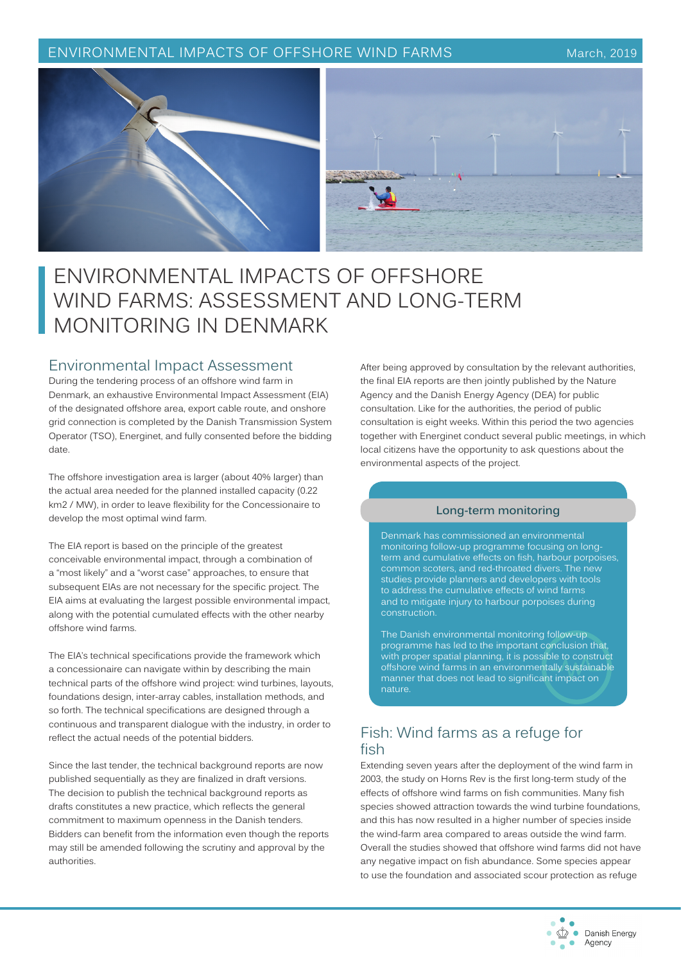#### ENVIRONMENTAL IMPACTS OF OFFSHORE WIND FARMS March, 2019



# ENVIRONMENTAL IMPACTS OF OFFSHORE WIND FARMS: ASSESSMENT AND LONG-TERM MONITORING IN DENMARK

#### Environmental Impact Assessment

During the tendering process of an offshore wind farm in Denmark, an exhaustive Environmental Impact Assessment (EIA) of the designated offshore area, export cable route, and onshore grid connection is completed by the Danish Transmission System Operator (TSO), Energinet, and fully consented before the bidding date.

The offshore investigation area is larger (about 40% larger) than the actual area needed for the planned installed capacity (0.22 km2 / MW), in order to leave flexibility for the Concessionaire to develop the most optimal wind farm.

The EIA report is based on the principle of the greatest conceivable environmental impact, through a combination of a "most likely" and a "worst case" approaches, to ensure that subsequent EIAs are not necessary for the specific project. The EIA aims at evaluating the largest possible environmental impact, along with the potential cumulated effects with the other nearby offshore wind farms.

The EIA's technical specifications provide the framework which a concessionaire can navigate within by describing the main technical parts of the offshore wind project: wind turbines, layouts, foundations design, inter-array cables, installation methods, and so forth. The technical specifications are designed through a continuous and transparent dialogue with the industry, in order to reflect the actual needs of the potential bidders.

Since the last tender, the technical background reports are now published sequentially as they are finalized in draft versions. The decision to publish the technical background reports as drafts constitutes a new practice, which reflects the general commitment to maximum openness in the Danish tenders. Bidders can benefit from the information even though the reports may still be amended following the scrutiny and approval by the authorities.

After being approved by consultation by the relevant authorities, the final EIA reports are then jointly published by the Nature Agency and the Danish Energy Agency (DEA) for public consultation. Like for the authorities, the period of public consultation is eight weeks. Within this period the two agencies together with Energinet conduct several public meetings, in which local citizens have the opportunity to ask questions about the environmental aspects of the project.

#### **Long-term monitoring**

Denmark has commissioned an environmental monitoring follow-up programme focusing on longterm and cumulative effects on fish, harbour porpoises, common scoters, and red-throated divers. The new studies provide planners and developers with tools to address the cumulative effects of wind farms and to mitigate injury to harbour porpoises during construction.

The Danish environmental monitoring follow-up programme has led to the important conclusion that, with proper spatial planning, it is possible to construct offshore wind farms in an environmentally sustainable manner that does not lead to significant impact on nature.

# Fish: Wind farms as a refuge for fish

Extending seven years after the deployment of the wind farm in 2003, the study on Horns Rev is the first long-term study of the effects of offshore wind farms on fish communities. Many fish species showed attraction towards the wind turbine foundations, and this has now resulted in a higher number of species inside the wind-farm area compared to areas outside the wind farm. Overall the studies showed that offshore wind farms did not have any negative impact on fish abundance. Some species appear to use the foundation and associated scour protection as refuge